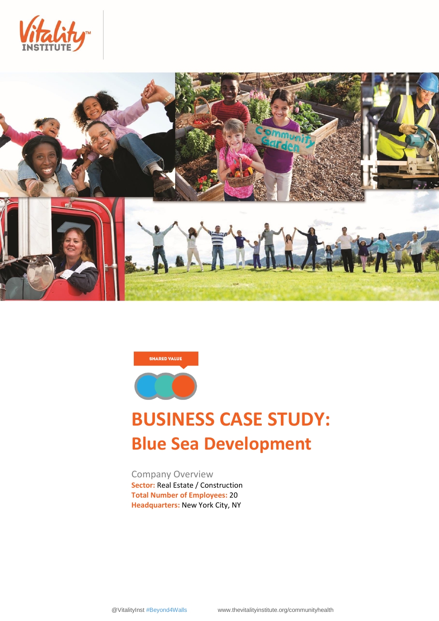





# **BUSINESS CASE STUDY: Blue Sea Development**

Company Overview **Sector:** Real Estate / Construction **Total Number of Employees:** 20 **Headquarters:** New York City, NY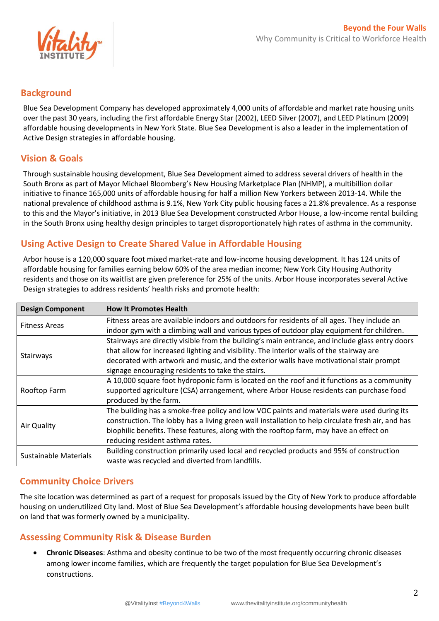

#### **Background**

Blue Sea Development Company has developed approximately 4,000 units of affordable and market rate housing units over the past 30 years, including the first affordable Energy Star (2002), LEED Silver (2007), and LEED Platinum (2009) affordable housing developments in New York State. Blue Sea Development is also a leader in the implementation of Active Design strategies in affordable housing.

### **Vision & Goals**

Through sustainable housing development, Blue Sea Development aimed to address several drivers of health in the South Bronx as part of Mayor Michael Bloomberg's New Housing Marketplace Plan (NHMP), a multibillion dollar initiative to finance 165,000 units of affordable housing for half a million New Yorkers between 2013-14. While the national prevalence of childhood asthma is 9.1%, New York City public housing faces a 21.8% prevalence. As a response to this and the Mayor's initiative, in 2013 Blue Sea Development constructed Arbor House, a low-income rental building in the South Bronx using healthy design principles to target disproportionately high rates of asthma in the community.

### **Using Active Design to Create Shared Value in Affordable Housing**

Arbor house is a 120,000 square foot mixed market-rate and low-income housing development. It has 124 units of affordable housing for families earning below 60% of the area median income; New York City Housing Authority residents and those on its waitlist are given preference for 25% of the units. Arbor House incorporates several Active Design strategies to address residents' health risks and promote health:

| <b>Design Component</b>      | <b>How It Promotes Health</b>                                                                     |
|------------------------------|---------------------------------------------------------------------------------------------------|
| <b>Fitness Areas</b>         | Fitness areas are available indoors and outdoors for residents of all ages. They include an       |
|                              | indoor gym with a climbing wall and various types of outdoor play equipment for children.         |
| Stairways                    | Stairways are directly visible from the building's main entrance, and include glass entry doors   |
|                              | that allow for increased lighting and visibility. The interior walls of the stairway are          |
|                              | decorated with artwork and music, and the exterior walls have motivational stair prompt           |
|                              | signage encouraging residents to take the stairs.                                                 |
| Rooftop Farm                 | A 10,000 square foot hydroponic farm is located on the roof and it functions as a community       |
|                              | supported agriculture (CSA) arrangement, where Arbor House residents can purchase food            |
|                              | produced by the farm.                                                                             |
| Air Quality                  | The building has a smoke-free policy and low VOC paints and materials were used during its        |
|                              | construction. The lobby has a living green wall installation to help circulate fresh air, and has |
|                              | biophilic benefits. These features, along with the rooftop farm, may have an effect on            |
|                              | reducing resident asthma rates.                                                                   |
| <b>Sustainable Materials</b> | Building construction primarily used local and recycled products and 95% of construction          |
|                              | waste was recycled and diverted from landfills.                                                   |

## **Community Choice Drivers**

The site location was determined as part of a request for proposals issued by the City of New York to produce affordable housing on underutilized City land. Most of Blue Sea Development's affordable housing developments have been built on land that was formerly owned by a municipality.

### **Assessing Community Risk & Disease Burden**

 **Chronic Diseases**: Asthma and obesity continue to be two of the most frequently occurring chronic diseases among lower income families, which are frequently the target population for Blue Sea Development's constructions.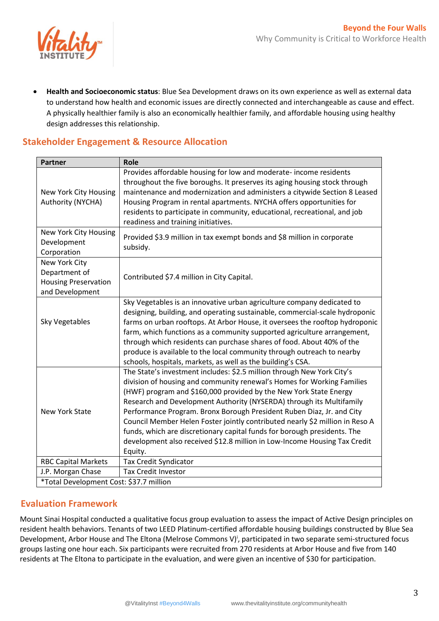

 **Health and Socioeconomic status**: Blue Sea Development draws on its own experience as well as external data to understand how health and economic issues are directly connected and interchangeable as cause and effect. A physically healthier family is also an economically healthier family, and affordable housing using healthy design addresses this relationship.

## **Stakeholder Engagement & Resource Allocation**

| <b>Partner</b>                                                                   | <b>Role</b>                                                                                                                                                                                                                                                                                                                                                                                                                                                                                                                                                                                                                |
|----------------------------------------------------------------------------------|----------------------------------------------------------------------------------------------------------------------------------------------------------------------------------------------------------------------------------------------------------------------------------------------------------------------------------------------------------------------------------------------------------------------------------------------------------------------------------------------------------------------------------------------------------------------------------------------------------------------------|
| New York City Housing<br>Authority (NYCHA)                                       | Provides affordable housing for low and moderate-income residents<br>throughout the five boroughs. It preserves its aging housing stock through<br>maintenance and modernization and administers a citywide Section 8 Leased<br>Housing Program in rental apartments. NYCHA offers opportunities for<br>residents to participate in community, educational, recreational, and job<br>readiness and training initiatives.                                                                                                                                                                                                   |
| New York City Housing<br>Development<br>Corporation                              | Provided \$3.9 million in tax exempt bonds and \$8 million in corporate<br>subsidy.                                                                                                                                                                                                                                                                                                                                                                                                                                                                                                                                        |
| New York City<br>Department of<br><b>Housing Preservation</b><br>and Development | Contributed \$7.4 million in City Capital.                                                                                                                                                                                                                                                                                                                                                                                                                                                                                                                                                                                 |
| <b>Sky Vegetables</b>                                                            | Sky Vegetables is an innovative urban agriculture company dedicated to<br>designing, building, and operating sustainable, commercial-scale hydroponic<br>farms on urban rooftops. At Arbor House, it oversees the rooftop hydroponic<br>farm, which functions as a community supported agriculture arrangement,<br>through which residents can purchase shares of food. About 40% of the<br>produce is available to the local community through outreach to nearby<br>schools, hospitals, markets, as well as the building's CSA.                                                                                          |
| <b>New York State</b>                                                            | The State's investment includes: \$2.5 million through New York City's<br>division of housing and community renewal's Homes for Working Families<br>(HWF) program and \$160,000 provided by the New York State Energy<br>Research and Development Authority (NYSERDA) through its Multifamily<br>Performance Program. Bronx Borough President Ruben Diaz, Jr. and City<br>Council Member Helen Foster jointly contributed nearly \$2 million in Reso A<br>funds, which are discretionary capital funds for borough presidents. The<br>development also received \$12.8 million in Low-Income Housing Tax Credit<br>Equity. |
| <b>RBC Capital Markets</b>                                                       | <b>Tax Credit Syndicator</b>                                                                                                                                                                                                                                                                                                                                                                                                                                                                                                                                                                                               |
| J.P. Morgan Chase                                                                | <b>Tax Credit Investor</b>                                                                                                                                                                                                                                                                                                                                                                                                                                                                                                                                                                                                 |
| *Total Development Cost: \$37.7 million                                          |                                                                                                                                                                                                                                                                                                                                                                                                                                                                                                                                                                                                                            |

#### **Evaluation Framework**

Mount Sinai Hospital conducted a qualitative focus group evaluation to assess the impact of Active Design principles on resident health behaviors. Tenants of two LEED Platinum-certified affordable housing buildings constructed by Blue Sea Development, Arbor House and The Eltona (Melrose Commons V)<sup>i</sup>, participated in two separate semi-structured focus groups lasting one hour each. Six participants were recruited from 270 residents at Arbor House and five from 140 residents at The Eltona to participate in the evaluation, and were given an incentive of \$30 for participation.